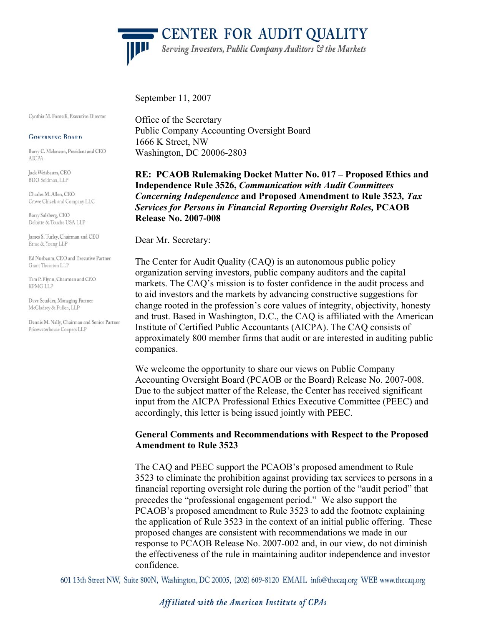'CENTER FOR AUDIT QUALITY Serving Investors, Public Company Auditors & the Markets

September 11, 2007

Cynthia M. Fornelli, Executive Director

#### **GOVERNING BOARD**

Barry C. Melancon, President and CEO **AICPA** 

Jack Weisbaum, CEO BDO Seidman, LLP

Charles M. Allen, CEO Crowe Chizek and Company LLC

Barry Salzberg, CEO Deloitte & Touche USA LLP

James S. Turley, Chairman and CEO Ernst & Young LLP

Ed Nusbaum, CEO and Executive Partner Grant Thornton LLP

Tim P. Flynn, Chairman and CEO KPMG LLP

Dave Scudder, Managing Partner McGladrey & Pullen, LLP

Dennis M. Nally, Chairman and Senior Partner Pricewaterhouse Coopers LLP

Office of the Secretary Public Company Accounting Oversight Board 1666 K Street, NW Washington, DC 20006-2803

**RE: PCAOB Rulemaking Docket Matter No. 017 – Proposed Ethics and Independence Rule 3526,** *Communication with Audit Committees Concerning Independence* **and Proposed Amendment to Rule 3523***, Tax Services for Persons in Financial Reporting Oversight Roles,* **PCAOB Release No. 2007-008** 

Dear Mr. Secretary:

The Center for Audit Quality (CAQ) is an autonomous public policy organization serving investors, public company auditors and the capital markets. The CAQ's mission is to foster confidence in the audit process and to aid investors and the markets by advancing constructive suggestions for change rooted in the profession's core values of integrity, objectivity, honesty and trust. Based in Washington, D.C., the CAQ is affiliated with the American Institute of Certified Public Accountants (AICPA). The CAQ consists of approximately 800 member firms that audit or are interested in auditing public companies.

We welcome the opportunity to share our views on Public Company Accounting Oversight Board (PCAOB or the Board) Release No. 2007-008. Due to the subject matter of the Release, the Center has received significant input from the AICPA Professional Ethics Executive Committee (PEEC) and accordingly, this letter is being issued jointly with PEEC.

### **General Comments and Recommendations with Respect to the Proposed Amendment to Rule 3523**

The CAQ and PEEC support the PCAOB's proposed amendment to Rule 3523 to eliminate the prohibition against providing tax services to persons in a financial reporting oversight role during the portion of the "audit period" that precedes the "professional engagement period." We also support the PCAOB's proposed amendment to Rule 3523 to add the footnote explaining the application of Rule 3523 in the context of an initial public offering. These proposed changes are consistent with recommendations we made in our response to PCAOB Release No. 2007-002 and, in our view, do not diminish the effectiveness of the rule in maintaining auditor independence and investor confidence.

601 13th Street NW, Suite 800N, Washington, DC 20005, (202) 609-8120 EMAIL info@thecaq.org WEB www.thecaq.org

Affiliated with the American Institute of CPAs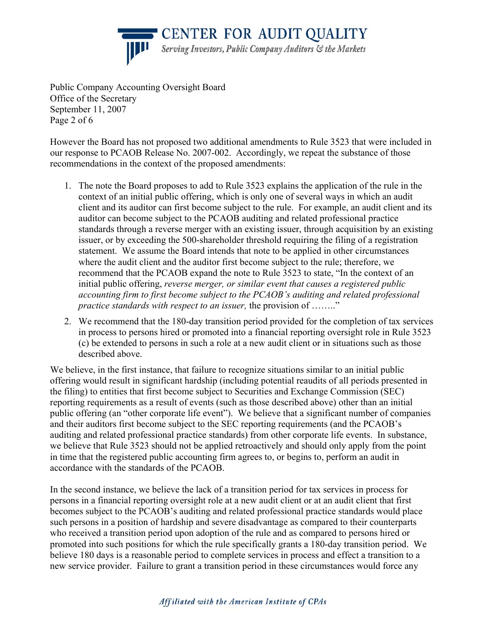**CENTER FOR AUDIT QUALITY** 

Serving Investors, Public Company Auditors & the Markets

Public Company Accounting Oversight Board Office of the Secretary September 11, 2007 Page 2 of 6

However the Board has not proposed two additional amendments to Rule 3523 that were included in our response to PCAOB Release No. 2007-002. Accordingly, we repeat the substance of those recommendations in the context of the proposed amendments:

- 1. The note the Board proposes to add to Rule 3523 explains the application of the rule in the context of an initial public offering, which is only one of several ways in which an audit client and its auditor can first become subject to the rule. For example, an audit client and its auditor can become subject to the PCAOB auditing and related professional practice standards through a reverse merger with an existing issuer, through acquisition by an existing issuer, or by exceeding the 500-shareholder threshold requiring the filing of a registration statement. We assume the Board intends that note to be applied in other circumstances where the audit client and the auditor first become subject to the rule; therefore, we recommend that the PCAOB expand the note to Rule 3523 to state, "In the context of an initial public offering, *reverse merger, or similar event that causes a registered public accounting firm to first become subject to the PCAOB's auditing and related professional practice standards with respect to an issuer,* the provision of …….."
- 2. We recommend that the 180-day transition period provided for the completion of tax services in process to persons hired or promoted into a financial reporting oversight role in Rule 3523 (c) be extended to persons in such a role at a new audit client or in situations such as those described above.

We believe, in the first instance, that failure to recognize situations similar to an initial public offering would result in significant hardship (including potential reaudits of all periods presented in the filing) to entities that first become subject to Securities and Exchange Commission (SEC) reporting requirements as a result of events (such as those described above) other than an initial public offering (an "other corporate life event"). We believe that a significant number of companies and their auditors first become subject to the SEC reporting requirements (and the PCAOB's auditing and related professional practice standards) from other corporate life events. In substance, we believe that Rule 3523 should not be applied retroactively and should only apply from the point in time that the registered public accounting firm agrees to, or begins to, perform an audit in accordance with the standards of the PCAOB.

In the second instance, we believe the lack of a transition period for tax services in process for persons in a financial reporting oversight role at a new audit client or at an audit client that first becomes subject to the PCAOB's auditing and related professional practice standards would place such persons in a position of hardship and severe disadvantage as compared to their counterparts who received a transition period upon adoption of the rule and as compared to persons hired or promoted into such positions for which the rule specifically grants a 180-day transition period. We believe 180 days is a reasonable period to complete services in process and effect a transition to a new service provider. Failure to grant a transition period in these circumstances would force any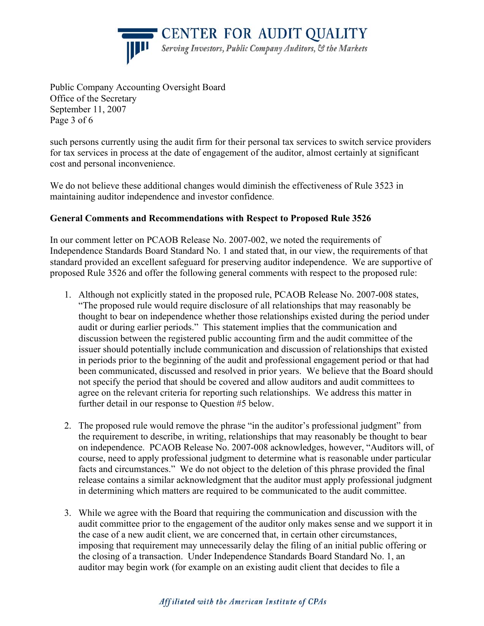CENTER FOR AUDIT QUALITY Serving Investors, Public Company Auditors, & the Markets



Public Company Accounting Oversight Board Office of the Secretary September 11, 2007 Page 3 of 6

such persons currently using the audit firm for their personal tax services to switch service providers for tax services in process at the date of engagement of the auditor, almost certainly at significant cost and personal inconvenience.

We do not believe these additional changes would diminish the effectiveness of Rule 3523 in maintaining auditor independence and investor confidence.

# **General Comments and Recommendations with Respect to Proposed Rule 3526**

In our comment letter on PCAOB Release No. 2007-002, we noted the requirements of Independence Standards Board Standard No. 1 and stated that, in our view, the requirements of that standard provided an excellent safeguard for preserving auditor independence. We are supportive of proposed Rule 3526 and offer the following general comments with respect to the proposed rule:

- 1. Although not explicitly stated in the proposed rule, PCAOB Release No. 2007-008 states, "The proposed rule would require disclosure of all relationships that may reasonably be thought to bear on independence whether those relationships existed during the period under audit or during earlier periods." This statement implies that the communication and discussion between the registered public accounting firm and the audit committee of the issuer should potentially include communication and discussion of relationships that existed in periods prior to the beginning of the audit and professional engagement period or that had been communicated, discussed and resolved in prior years. We believe that the Board should not specify the period that should be covered and allow auditors and audit committees to agree on the relevant criteria for reporting such relationships. We address this matter in further detail in our response to Question #5 below.
- 2. The proposed rule would remove the phrase "in the auditor's professional judgment" from the requirement to describe, in writing, relationships that may reasonably be thought to bear on independence. PCAOB Release No. 2007-008 acknowledges, however, "Auditors will, of course, need to apply professional judgment to determine what is reasonable under particular facts and circumstances." We do not object to the deletion of this phrase provided the final release contains a similar acknowledgment that the auditor must apply professional judgment in determining which matters are required to be communicated to the audit committee.
- 3. While we agree with the Board that requiring the communication and discussion with the audit committee prior to the engagement of the auditor only makes sense and we support it in the case of a new audit client, we are concerned that, in certain other circumstances, imposing that requirement may unnecessarily delay the filing of an initial public offering or the closing of a transaction. Under Independence Standards Board Standard No. 1, an auditor may begin work (for example on an existing audit client that decides to file a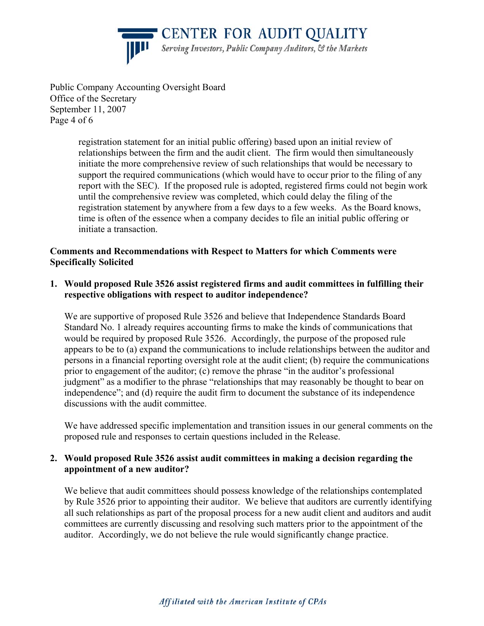**CENTER FOR AUDIT QUALITY** 



Serving Investors, Public Company Auditors, & the Markets

Public Company Accounting Oversight Board Office of the Secretary September 11, 2007 Page 4 of 6

> registration statement for an initial public offering) based upon an initial review of relationships between the firm and the audit client. The firm would then simultaneously initiate the more comprehensive review of such relationships that would be necessary to support the required communications (which would have to occur prior to the filing of any report with the SEC). If the proposed rule is adopted, registered firms could not begin work until the comprehensive review was completed, which could delay the filing of the registration statement by anywhere from a few days to a few weeks. As the Board knows, time is often of the essence when a company decides to file an initial public offering or initiate a transaction.

## **Comments and Recommendations with Respect to Matters for which Comments were Specifically Solicited**

**1. Would proposed Rule 3526 assist registered firms and audit committees in fulfilling their respective obligations with respect to auditor independence?** 

We are supportive of proposed Rule 3526 and believe that Independence Standards Board Standard No. 1 already requires accounting firms to make the kinds of communications that would be required by proposed Rule 3526. Accordingly, the purpose of the proposed rule appears to be to (a) expand the communications to include relationships between the auditor and persons in a financial reporting oversight role at the audit client; (b) require the communications prior to engagement of the auditor; (c) remove the phrase "in the auditor's professional judgment" as a modifier to the phrase "relationships that may reasonably be thought to bear on independence"; and (d) require the audit firm to document the substance of its independence discussions with the audit committee.

We have addressed specific implementation and transition issues in our general comments on the proposed rule and responses to certain questions included in the Release.

## **2. Would proposed Rule 3526 assist audit committees in making a decision regarding the appointment of a new auditor?**

We believe that audit committees should possess knowledge of the relationships contemplated by Rule 3526 prior to appointing their auditor. We believe that auditors are currently identifying all such relationships as part of the proposal process for a new audit client and auditors and audit committees are currently discussing and resolving such matters prior to the appointment of the auditor. Accordingly, we do not believe the rule would significantly change practice.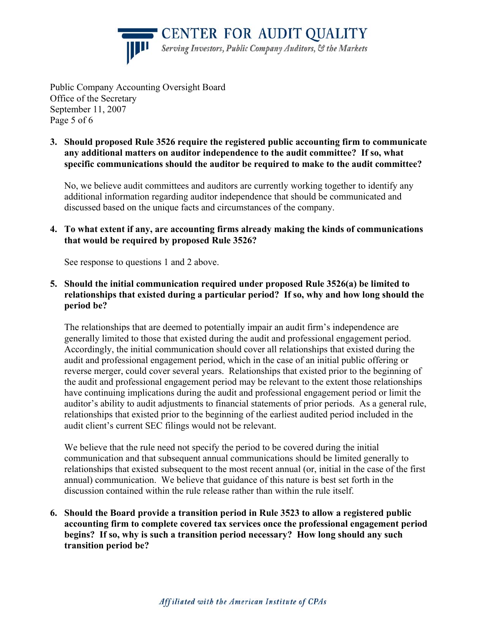CENTER FOR AUDIT QUALITY Serving Investors, Public Company Auditors, & the Markets

Public Company Accounting Oversight Board Office of the Secretary September 11, 2007 Page 5 of 6

**3. Should proposed Rule 3526 require the registered public accounting firm to communicate any additional matters on auditor independence to the audit committee? If so, what specific communications should the auditor be required to make to the audit committee?**

No, we believe audit committees and auditors are currently working together to identify any additional information regarding auditor independence that should be communicated and discussed based on the unique facts and circumstances of the company.

**4. To what extent if any, are accounting firms already making the kinds of communications that would be required by proposed Rule 3526?**

See response to questions 1 and 2 above.

**5. Should the initial communication required under proposed Rule 3526(a) be limited to relationships that existed during a particular period? If so, why and how long should the period be?**

The relationships that are deemed to potentially impair an audit firm's independence are generally limited to those that existed during the audit and professional engagement period. Accordingly, the initial communication should cover all relationships that existed during the audit and professional engagement period, which in the case of an initial public offering or reverse merger, could cover several years. Relationships that existed prior to the beginning of the audit and professional engagement period may be relevant to the extent those relationships have continuing implications during the audit and professional engagement period or limit the auditor's ability to audit adjustments to financial statements of prior periods. As a general rule, relationships that existed prior to the beginning of the earliest audited period included in the audit client's current SEC filings would not be relevant.

We believe that the rule need not specify the period to be covered during the initial communication and that subsequent annual communications should be limited generally to relationships that existed subsequent to the most recent annual (or, initial in the case of the first annual) communication. We believe that guidance of this nature is best set forth in the discussion contained within the rule release rather than within the rule itself.

**6. Should the Board provide a transition period in Rule 3523 to allow a registered public accounting firm to complete covered tax services once the professional engagement period begins? If so, why is such a transition period necessary? How long should any such transition period be?**